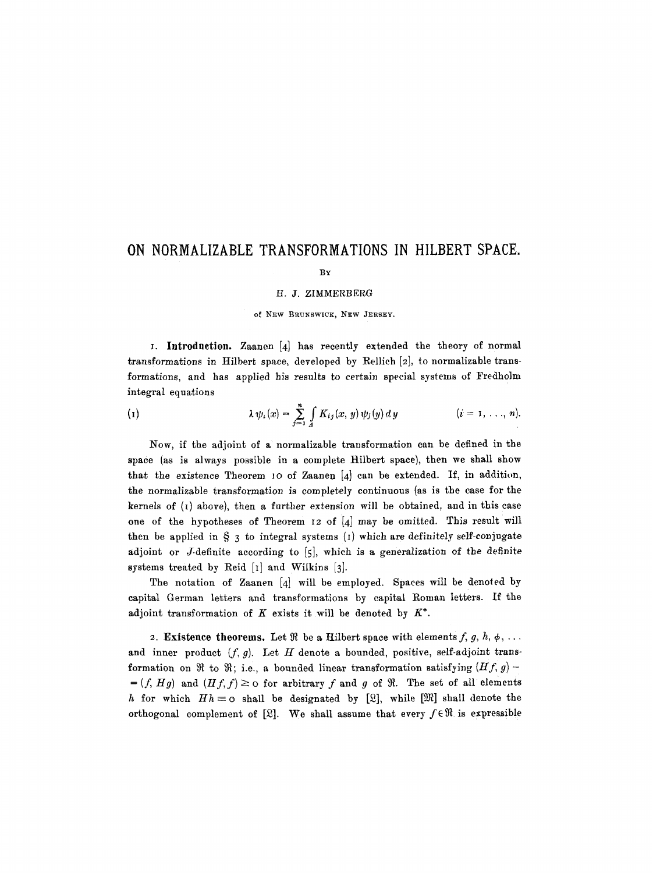## **ON NORMALIZABLE TRANSFORMATIONS IN HILBERT SPACE.**

## BY

## H. J. ZIMMERBERG

of New BRUNSWICK, NEW JERSEY.

I. Introduction. Zaanen [4] has recently extended the theory of normal transformations in Hilbert space, developed by Rellich  $[2]$ , to normalizable transformations, and has applied his results to certain special systems of Fredholm integral equations

(1) 
$$
\lambda \psi_i(x) = \sum_{j=1}^n \int_A K_{ij}(x, y) \psi_j(y) dy \qquad (i = 1, ..., n).
$$

Now, if the adjoint of a normalizable transformation can be defined in the space (as is always possible in a complete Hilbert space), then we shall show that the existence Theorem 10 of Zaanen  $[4]$  can be extended. If, in addition, the normalizable transformation is completely continuous (as is the case for the kernels of  $(i)$  above), then a further extension will be obtained, and in this case one of the hypotheses of Theorem I2 of [4] may be omitted. This result will then be applied in  $\S$  3 to integral systems (1) which are definitely self-conjugate adjoint or J-definite according to [5], which is a generalization of the definite systems treated by Reid [I] and Wilkins [3].

The notation of Zaanen [4] will be employed. Spaces will be denoted by capital German letters and transformations by capital Roman letters. If the adjoint transformation of  $K$  exists it will be denoted by  $K^*$ .

2. Existence theorems. Let  $\Re$  be a Hilbert space with elements f, g, h,  $\phi$ , ... and inner product  $(f, g)$ . Let H denote a bounded, positive, self-adjoint transformation on  $\Re$  to  $\Re$ ; i.e., a bounded linear transformation satisfying  $(Hf, g)$  =  $=(f, Hg)$  and  $(Hf, f) \geq 0$  for arbitrary f and g of  $\Re$ . The set of all elements h for which  $Hh = o$  shall be designated by [2], while [ $\mathfrak{M}$ ] shall denote the orthogonal complement of [2]. We shall assume that every  $f \in \mathcal{R}$  is expressible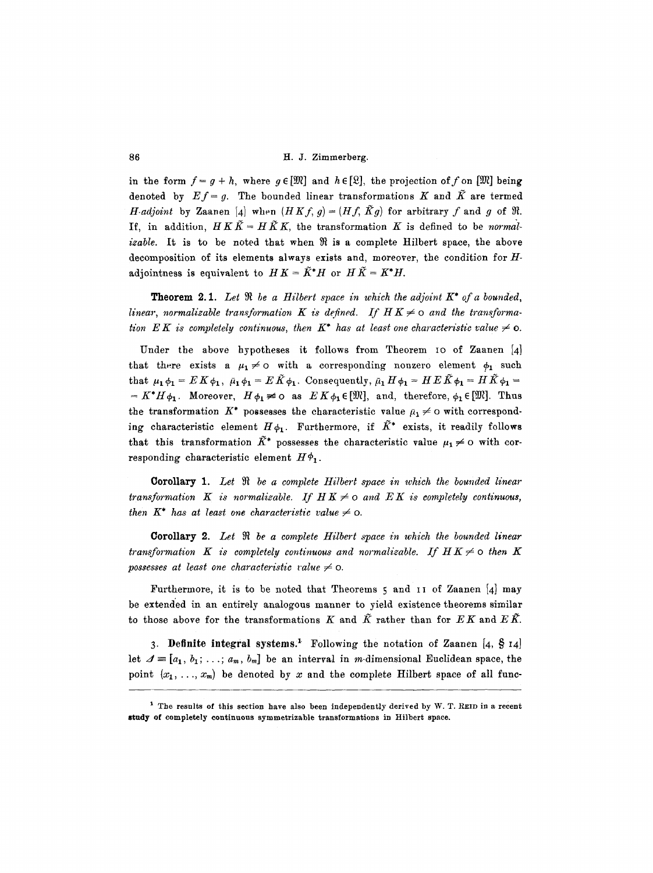86 H.J. Zimmerberg.

in the form  $f = g + h$ , where  $g \in [\mathfrak{M}]$  and  $h \in [\mathfrak{L}]$ , the projection of f on  $[\mathfrak{M}]$  being denoted by  $Ef = g$ . The bounded linear transformations K and  $\tilde{K}$  are termed *H-adjoint* by Zaanen [4] when  $(HKf, g) = (Hf, \tilde{K}g)$  for arbitrary f and g of  $\Re$ . If, in addition,  $H K \tilde{K} = H \tilde{K} K$ , the transformation K is defined to be *normalizable.* It is to be noted that when  $\Re$  is a complete Hilbert space, the above decomposition of its elements always exists and, moreover, the condition for Hadjointness is equivalent to  $HK = \tilde{K}^*H$  or  $H\tilde{K} = K^*H$ .

**Theorem 2.1.** Let  $\Re$  be a Hilbert space in which the adjoint  $K^*$  of a bounded, linear, normalizable transformation K is defined. If  $H K \neq o$  and the transforma*tion EK is completely continuous, then K\* has at least one characteristic value*  $\neq$  0.

Under the above hypotheses it follows from Theorem IO of Zaanen [4] that there exists a  $\mu_1 \neq o$  with a corresponding nonzero element  $\phi_1$  such that  $\mu_1 \phi_1 = E K \phi_1$ ,  $\bar{\mu}_1 \phi_1 = E \tilde{K} \phi_1$ . Consequently,  $\bar{\mu}_1 H \phi_1 = H E \tilde{K} \phi_1 = H \tilde{K} \phi_1 =$  $=K^*H\phi_1$ . Moreover,  $H\phi_1 \neq 0$  as  $EK\phi_1 \in [\mathfrak{M}]$ , and, therefore,  $\phi_1 \in [\mathfrak{M}]$ . Thus the transformation K\* possesses the characteristic value  $\bar{\mu}_1 \neq 0$  with corresponding characteristic element  $H\phi_1$ . Furthermore, if  $\tilde{K}^*$  exists, it readily follows that this transformation  $\tilde{K}^*$  possesses the characteristic value  $\mu_1 \neq 0$  with corresponding characteristic element  $H\phi_1$ .

Corollary 1. Let  $\Re$  be a complete Hilbert space in which the bounded linear *transformation* K is normalizable. If  $H K \neq o$  and  $E K$  is completely continuous, *then*  $K^*$  *has at least one characteristic value*  $\neq$  0.

**Corollary 2.** Let  $\Re$  be a complete Hilbert space in which the bounded linear *transformation* K is completely continuous and normalizable. If  $H K \neq o$  then K *possesses at least one characteristic value*  $\neq$  0.

Furthermore, it is to be noted that Theorems 5 and II of Zaanen [4] may be extended in an entirely analogous manner to yield existence theorems similar to those above for the transformations K and  $\tilde{K}$  rather than for  $EK$  and  $E\tilde{K}$ .

3. Definite integral systems.<sup>1</sup> Following the notation of Zaanen [4,  $\S$  14] let  $\mathcal{A} \equiv [a_1, b_1; \ldots; a_m, b_m]$  be an interval in m-dimensional Euclidean space, the point  $(x_1, \ldots, x_m)$  be denoted by x and the complete Hilbert space of all func-

<sup>&</sup>lt;sup>1</sup> The results of this section have also been independently derived by W. T. REID in a recent study of completely continuous symmetrizable transformations in Hilbert space.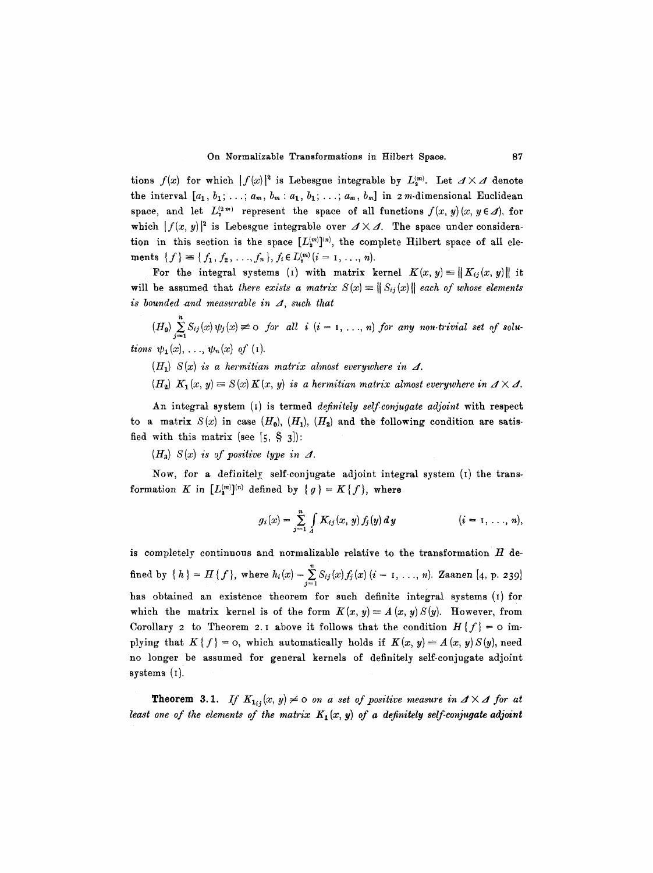tions  $f(x)$  for which  $|f(x)|^2$  is Lebesgue integrable by  $L_n^{(m)}$ . Let  $\Delta \times \mathcal{A}$  denote the interval  $[a_1, b_1; \ldots; a_m, b_m: a_1, b_1; \ldots; a_m, b_m]$  in 2m-dimensional Euclidean space, and let  $L_{2}^{(2m)}$  represent the space of all functions  $f(x, y)(x, y \in \mathcal{A})$ , for which  $|f(x, y)|^2$  is Lebesgue integrable over  $\Delta \times \Delta$ . The space under consideration in this section is the space  $[L_2^{(m)}]^{(n)}$ , the complete Hilbert space of all elements  ${f} \equiv {f_1, f_2, ..., f_n},~f_i \in L_2^{(m)}$   $(i = 1, ..., n)$ .

For the integral systems (1) with matrix kernel  $K(x, y) = ||K_{ij}(x, y)||$  it will be assumed that *there exists a matrix*  $S(x) \equiv ||S_{ij}(x)||$  each of whose elements  $is$  bounded and measurable in  $\Lambda$ , such that

 $(H_0)$   $\sum\limits_{j=1}S_{ij}(x)\psi_j(x) \neq 0$  for all  $i$   $(i = 1, ..., n)$  for any non-trivial set of solu*tions*  $\psi_1(x), \ldots, \psi_n(x)$  of (i).

 $(H_1)$  *S(x) is a hermitian matrix almost everywhere in*  $\Delta$ *.* 

 $(H_2)$   $K_1(x, y) \equiv S(x) K(x, y)$  is a hermitian matrix almost everywhere in  $\Delta \times \Delta$ .

An integral system (I) is termed *definitely self conjugate adjoint* with respect to a matrix  $S(x)$  in case  $(H_0)$ ,  $(H_1)$ ,  $(H_2)$  and the following condition are satisfied with this matrix (see  $[5, \S 3]$ ):

 $(H_3)$   $S(x)$  is of positive type in  $\Lambda$ .

Now, for a definitely self-conjugate adjoint integral system  $(i)$  the transformation K in  $[L_2^{(m)}]^{(n)}$  defined by  $\{g\} = K\{f\}$ , where

$$
g_i(x) = \sum_{j=1}^n \int_{A} K_{ij}(x, y) f_j(y) dy \qquad (i = 1, ..., n),
$$

is completely continuous and normalizable relative to the transformation  $H$  defined by  $\{ h \} = H \{ f \}$ , where  $h_i(x) = \sum_{j=1} S_{ij}(x) f_j(x)$   $(i = 1, ..., n)$ . Zaanen [4, p. 239] has obtained an existence theorem for such definite integral systems (1) for which the matrix kernel is of the form  $K(x, y) \equiv A(x, y) S(y)$ . However, from Corollary 2 to Theorem 2.1 above it follows that the condition  $H\{f\} = \infty$  implying that  $K\{f\} = 0$ , which automatically holds if  $K(x, y) \equiv A(x, y)S(y)$ , need no longer be assumed for general kernels of definitely self-conjugate adjoint systems  $(1)$ .

**Theorem 3.1.** *If*  $K_{1ij}(x, y) \neq 0$  on a set of positive measure in  $A \times A$  for at *least one of the elements of the matrix*  $K_1(x, y)$  of a definitely self-conjugate adjoint